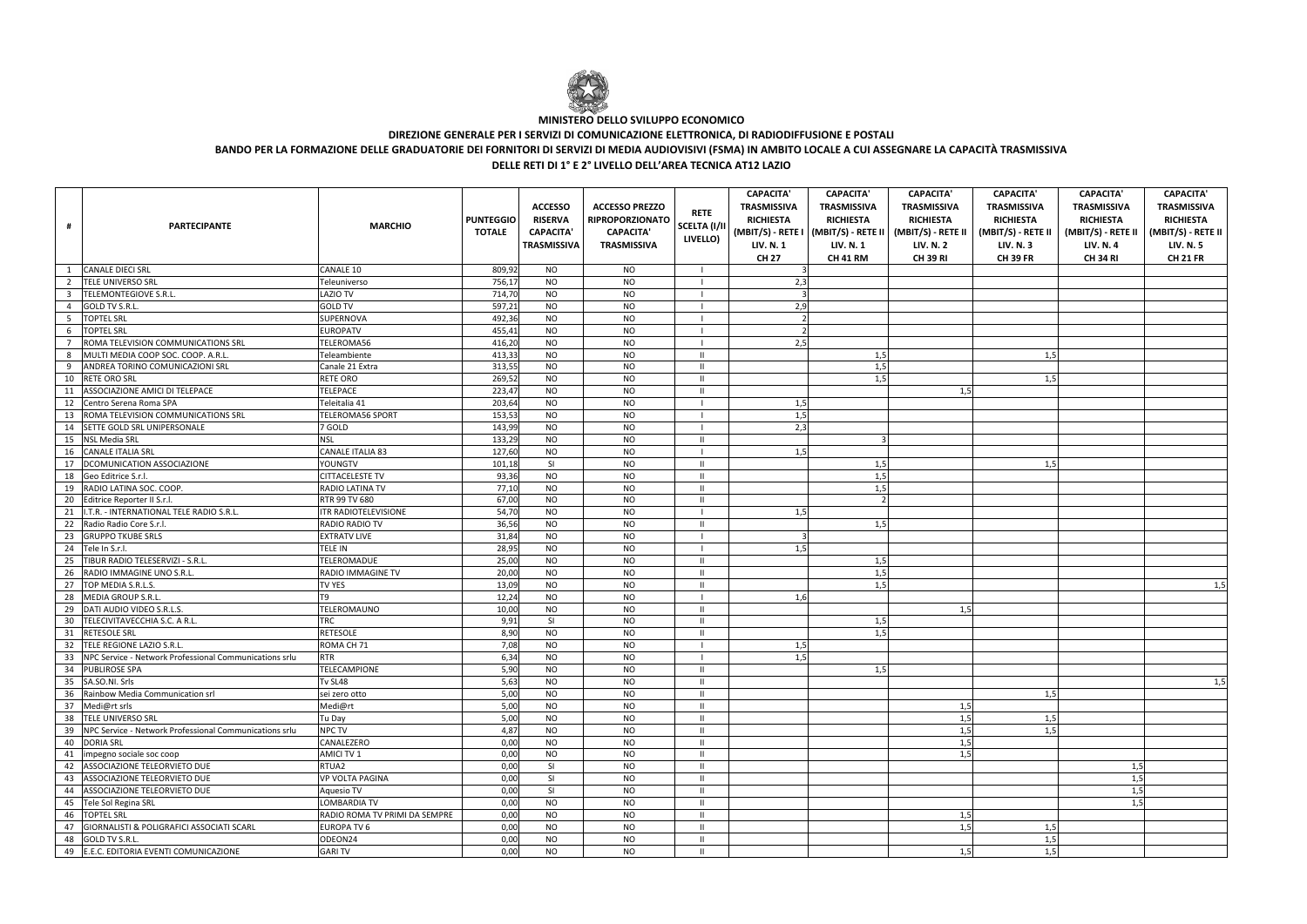|                         | <b>PARTECIPANTE</b>                                       | <b>MARCHIO</b>                | <b>PUNTEGGIO</b><br><b>TOTALE</b> | <b>ACCESSO</b><br><b>RISERVA</b><br><b>CAPACITA'</b><br><b>TRASMISSIVA</b> | <b>ACCESSO PREZZO</b><br><b>RIPROPORZIONATO</b><br><b>CAPACITA'</b><br><b>TRASMISSIVA</b> | <b>RETE</b><br><b>SCELTA (I/II</b><br>LIVELLO) | <b>CAPACITA'</b><br><b>TRASMISSIVA</b><br><b>RICHIESTA</b><br><b>LIV. N. 1</b><br><b>CH 27</b> | <b>CAPACITA</b><br><b>TRASMISSIVA</b><br><b>RICHIESTA</b><br><b>LIV. N. 1</b><br><b>CH 41 RM</b> | <b>CAPACITA'</b><br><b>TRASMISSIVA</b><br><b>RICHIESTA</b><br>(MBIT/S) - RETE I   (MBIT/S) - RETE II   (MBIT/S) - RETE II  <br><b>LIV. N. 2</b><br><b>CH 39 RI</b> | <b>CAPACITA'</b><br><b>TRASMISSIVA</b><br><b>RICHIESTA</b><br>(MBIT/S) - RETE II<br><b>LIV. N.3</b><br><b>CH 39 FR</b> | <b>CAPACITA'</b><br><b>TRASMISSIVA</b><br><b>RICHIESTA</b><br>(MBIT/S) - RETE II<br><b>LIV. N. 4</b><br><b>CH 34 RI</b> | <b>CAPACITA'</b><br><b>TRASMISSIVA</b><br><b>RICHIESTA</b><br>(MBIT/S) - RETE II<br><b>LIV. N. 5</b><br><b>CH 21 FR</b> |
|-------------------------|-----------------------------------------------------------|-------------------------------|-----------------------------------|----------------------------------------------------------------------------|-------------------------------------------------------------------------------------------|------------------------------------------------|------------------------------------------------------------------------------------------------|--------------------------------------------------------------------------------------------------|--------------------------------------------------------------------------------------------------------------------------------------------------------------------|------------------------------------------------------------------------------------------------------------------------|-------------------------------------------------------------------------------------------------------------------------|-------------------------------------------------------------------------------------------------------------------------|
| $\overline{1}$          | <b>CANALE DIECI SRL</b>                                   | CANALE 10                     | 809,92                            | <b>NO</b>                                                                  | NO.                                                                                       |                                                |                                                                                                |                                                                                                  |                                                                                                                                                                    |                                                                                                                        |                                                                                                                         |                                                                                                                         |
| $\overline{2}$          | TELE UNIVERSO SRL                                         | Teleuniverso                  | 756,17                            | <b>NO</b>                                                                  | <b>NO</b>                                                                                 |                                                | 2,3                                                                                            |                                                                                                  |                                                                                                                                                                    |                                                                                                                        |                                                                                                                         |                                                                                                                         |
| $\overline{\mathbf{3}}$ | TELEMONTEGIOVE S.R.L.                                     | <b>LAZIO TV</b>               | 714,70                            | <b>NO</b>                                                                  | <b>NO</b>                                                                                 |                                                |                                                                                                |                                                                                                  |                                                                                                                                                                    |                                                                                                                        |                                                                                                                         |                                                                                                                         |
| $\overline{4}$          | <b>GOLD TV S.R.L.</b>                                     | <b>GOLD TV</b>                | 597,21                            | <b>NO</b>                                                                  | <b>NO</b>                                                                                 |                                                | 2,9                                                                                            |                                                                                                  |                                                                                                                                                                    |                                                                                                                        |                                                                                                                         |                                                                                                                         |
| - 5                     | <b>TOPTEL SRL</b>                                         | SUPERNOVA                     | 492,36                            | <b>NO</b>                                                                  | <b>NO</b>                                                                                 |                                                |                                                                                                |                                                                                                  |                                                                                                                                                                    |                                                                                                                        |                                                                                                                         |                                                                                                                         |
| 6                       | <b>TOPTEL SRL</b>                                         | <b>EUROPATV</b>               | 455,41                            | <b>NO</b>                                                                  | <b>NO</b>                                                                                 |                                                |                                                                                                |                                                                                                  |                                                                                                                                                                    |                                                                                                                        |                                                                                                                         |                                                                                                                         |
| $\overline{7}$          | ROMA TELEVISION COMMUNICATIONS SRL                        | TELEROMA56                    | 416,20                            | <b>NO</b>                                                                  | <b>NO</b>                                                                                 |                                                | 2,5                                                                                            |                                                                                                  |                                                                                                                                                                    |                                                                                                                        |                                                                                                                         |                                                                                                                         |
| 8                       | MULTI MEDIA COOP SOC. COOP. A.R.L                         | Teleambiente                  | 413,33                            | <b>NO</b>                                                                  | <b>NO</b>                                                                                 | $\mathbf{H}$                                   |                                                                                                | 1,5                                                                                              |                                                                                                                                                                    | 1,5                                                                                                                    |                                                                                                                         |                                                                                                                         |
| 9                       | ANDREA TORINO COMUNICAZIONI SRL                           | Canale 21 Extra               | 313,55                            | <b>NO</b>                                                                  | <b>NO</b>                                                                                 | $\mathbf{H}$                                   |                                                                                                | 1,5                                                                                              |                                                                                                                                                                    |                                                                                                                        |                                                                                                                         |                                                                                                                         |
|                         | 10 RETE ORO SRL                                           | RETE ORO                      | 269,52                            | <b>NO</b>                                                                  | <b>NO</b>                                                                                 | $\mathbf{H}$                                   |                                                                                                | 1,5                                                                                              |                                                                                                                                                                    | 1,5                                                                                                                    |                                                                                                                         |                                                                                                                         |
| 11                      | ASSOCIAZIONE AMICI DI TELEPACE                            | <b>TELEPACE</b>               | 223,47                            | <b>NO</b>                                                                  | <b>NO</b>                                                                                 | $\mathbf{H}$                                   |                                                                                                |                                                                                                  | 1,5                                                                                                                                                                |                                                                                                                        |                                                                                                                         |                                                                                                                         |
|                         | 12 Centro Serena Roma SPA                                 | Teleitalia 41                 | 203,64                            | <b>NO</b>                                                                  | <b>NO</b>                                                                                 |                                                | 1,5                                                                                            |                                                                                                  |                                                                                                                                                                    |                                                                                                                        |                                                                                                                         |                                                                                                                         |
| 13                      | ROMA TELEVISION COMMUNICATIONS SRL                        | <b>TELEROMA56 SPORT</b>       | 153,53                            | <b>NO</b>                                                                  | <b>NO</b>                                                                                 |                                                | 1,5                                                                                            |                                                                                                  |                                                                                                                                                                    |                                                                                                                        |                                                                                                                         |                                                                                                                         |
| 14                      | SETTE GOLD SRL UNIPERSONALE                               | 7 GOLD                        | 143,99                            | <b>NO</b>                                                                  | <b>NO</b>                                                                                 |                                                | 2,3                                                                                            |                                                                                                  |                                                                                                                                                                    |                                                                                                                        |                                                                                                                         |                                                                                                                         |
|                         | 15 NSL Media SRL                                          | <b>NSL</b>                    | 133,29                            | <b>NO</b>                                                                  | <b>NO</b>                                                                                 | $\mathbf{H}$                                   |                                                                                                |                                                                                                  |                                                                                                                                                                    |                                                                                                                        |                                                                                                                         |                                                                                                                         |
|                         | 16 CANALE ITALIA SRL                                      | <b>CANALE ITALIA 83</b>       | 127,60                            | <b>NO</b>                                                                  | <b>NO</b>                                                                                 |                                                | 1,5                                                                                            |                                                                                                  |                                                                                                                                                                    |                                                                                                                        |                                                                                                                         |                                                                                                                         |
| 17                      | DCOMUNICATION ASSOCIAZIONE                                | YOUNGTV                       | 101,18                            | SI                                                                         | <b>NO</b>                                                                                 | $\mathbf{H}$                                   |                                                                                                | 1,5                                                                                              |                                                                                                                                                                    | 1,5                                                                                                                    |                                                                                                                         |                                                                                                                         |
| 18                      | Geo Editrice S.r.l.                                       | <b>CITTACELESTE TV</b>        | 93,36                             | <b>NO</b>                                                                  | <b>NO</b>                                                                                 | Ш                                              |                                                                                                | 1,5                                                                                              |                                                                                                                                                                    |                                                                                                                        |                                                                                                                         |                                                                                                                         |
| 19                      | RADIO LATINA SOC. COOP.                                   | RADIO LATINA TV               | 77,10                             | <b>NO</b>                                                                  | <b>NO</b>                                                                                 | $\mathbf{H}$                                   |                                                                                                | 1,5                                                                                              |                                                                                                                                                                    |                                                                                                                        |                                                                                                                         |                                                                                                                         |
| 20                      | Editrice Reporter II S.r.l.                               | RTR 99 TV 680                 | 67,00                             | <b>NO</b>                                                                  | <b>NO</b>                                                                                 | $\mathbf{H}$                                   |                                                                                                |                                                                                                  |                                                                                                                                                                    |                                                                                                                        |                                                                                                                         |                                                                                                                         |
| 21                      | I.T.R. - INTERNATIONAL TELE RADIO S.R.L.                  | <b>ITR RADIOTELEVISIONE</b>   | 54,70                             | <b>NO</b>                                                                  | <b>NO</b>                                                                                 |                                                | 1,5                                                                                            |                                                                                                  |                                                                                                                                                                    |                                                                                                                        |                                                                                                                         |                                                                                                                         |
|                         | 22 Radio Radio Core S.r.l.                                | RADIO RADIO TV                | 36,56                             | <b>NO</b>                                                                  | <b>NO</b>                                                                                 | $\mathbf{H}$                                   |                                                                                                | 1,5                                                                                              |                                                                                                                                                                    |                                                                                                                        |                                                                                                                         |                                                                                                                         |
|                         | 23 GRUPPO TKUBE SRLS                                      | <b>EXTRATV LIVE</b>           | 31,84                             | <b>NO</b>                                                                  | <b>NO</b>                                                                                 |                                                |                                                                                                |                                                                                                  |                                                                                                                                                                    |                                                                                                                        |                                                                                                                         |                                                                                                                         |
|                         | 24 Tele In S.r.l.                                         | <b>TELE IN</b>                | 28,95                             | <b>NO</b>                                                                  | <b>NO</b>                                                                                 |                                                | 1,5                                                                                            |                                                                                                  |                                                                                                                                                                    |                                                                                                                        |                                                                                                                         |                                                                                                                         |
| 25                      | TIBUR RADIO TELESERVIZI - S.R.L.                          | TELEROMADUE                   | 25,00                             | <b>NO</b>                                                                  | <b>NO</b>                                                                                 | $\mathbf{H}$                                   |                                                                                                | 1,5                                                                                              |                                                                                                                                                                    |                                                                                                                        |                                                                                                                         |                                                                                                                         |
| 26                      | RADIO IMMAGINE UNO S.R.L.                                 | <b>RADIO IMMAGINE TV</b>      | 20,00                             | <b>NO</b>                                                                  | NO.                                                                                       | $\mathbf{II}$                                  |                                                                                                | 1,5                                                                                              |                                                                                                                                                                    |                                                                                                                        |                                                                                                                         |                                                                                                                         |
| 27                      | TOP MEDIA S.R.L.S.                                        | <b>TV YES</b>                 | 13,09                             | <b>NO</b>                                                                  | <b>NO</b>                                                                                 | $\mathbf{H}$                                   |                                                                                                | 1,5                                                                                              |                                                                                                                                                                    |                                                                                                                        |                                                                                                                         | 1,5                                                                                                                     |
|                         | 28 MEDIA GROUP S.R.L.                                     | T9                            | 12,24                             | <b>NO</b>                                                                  | <b>NO</b>                                                                                 |                                                | 1,6                                                                                            |                                                                                                  |                                                                                                                                                                    |                                                                                                                        |                                                                                                                         |                                                                                                                         |
| 29                      | DATI AUDIO VIDEO S.R.L.S.                                 | <b>TELEROMAUNO</b>            | 10,00                             | <b>NO</b>                                                                  | <b>NO</b>                                                                                 | $\mathbf{II}$                                  |                                                                                                |                                                                                                  | 1,5                                                                                                                                                                |                                                                                                                        |                                                                                                                         |                                                                                                                         |
| 30                      | TELECIVITAVECCHIA S.C. A R.L.                             | TRC                           | 9,91                              | <b>SI</b>                                                                  | <b>NO</b>                                                                                 | $\mathbf{H}$                                   |                                                                                                | 1,5                                                                                              |                                                                                                                                                                    |                                                                                                                        |                                                                                                                         |                                                                                                                         |
| 31                      | <b>RETESOLE SRL</b>                                       | <b>RETESOLE</b>               | 8,90                              | <b>NO</b>                                                                  | <b>NO</b>                                                                                 | $\mathbf{H}$                                   |                                                                                                | 1,5                                                                                              |                                                                                                                                                                    |                                                                                                                        |                                                                                                                         |                                                                                                                         |
| 32                      | TELE REGIONE LAZIO S.R.L.                                 | ROMA CH 71                    | 7,08                              | <b>NO</b>                                                                  | <b>NO</b>                                                                                 |                                                | 1,5                                                                                            |                                                                                                  |                                                                                                                                                                    |                                                                                                                        |                                                                                                                         |                                                                                                                         |
|                         | 33 NPC Service - Network Professional Communications srlu | <b>RTR</b>                    | 6,34                              | <b>NO</b>                                                                  | <b>NO</b>                                                                                 |                                                | 1,5                                                                                            |                                                                                                  |                                                                                                                                                                    |                                                                                                                        |                                                                                                                         |                                                                                                                         |
|                         | 34 PUBLIROSE SPA                                          | TELECAMPIONE                  | 5,90                              | <b>NO</b>                                                                  | <b>NO</b>                                                                                 | $\mathbf{H}$                                   |                                                                                                | 1,5                                                                                              |                                                                                                                                                                    |                                                                                                                        |                                                                                                                         |                                                                                                                         |
|                         | 35 SA.SO.NI. Srls                                         | Tv SL48                       | 5,63                              | N <sub>O</sub>                                                             | $\rm NO$                                                                                  | $\mathbf{II}$                                  |                                                                                                |                                                                                                  |                                                                                                                                                                    |                                                                                                                        |                                                                                                                         | 1,5                                                                                                                     |
|                         | 36 Rainbow Media Communication srl                        | sei zero otto                 | 5,00                              | <b>NO</b>                                                                  | NO.                                                                                       | $\mathbf{H}$                                   |                                                                                                |                                                                                                  |                                                                                                                                                                    | 1,5                                                                                                                    |                                                                                                                         |                                                                                                                         |
|                         | 37 Medi@rt srls                                           | Medi@rt                       | 5,00                              | <b>NO</b>                                                                  | NO.                                                                                       | $\mathbf{H}$                                   |                                                                                                |                                                                                                  | 1,5                                                                                                                                                                |                                                                                                                        |                                                                                                                         |                                                                                                                         |
|                         | 38 TELE UNIVERSO SRL                                      | Tu Day                        | 5,00                              | <b>NO</b>                                                                  | <b>NO</b>                                                                                 | $\mathbf{II}$                                  |                                                                                                |                                                                                                  | 1,5                                                                                                                                                                | 1,5                                                                                                                    |                                                                                                                         |                                                                                                                         |
| 39                      | NPC Service - Network Professional Communications srlu    | <b>NPC TV</b>                 | 4,87                              | <b>NO</b>                                                                  | <b>NO</b>                                                                                 | $\mathbf{H}$                                   |                                                                                                |                                                                                                  | 1,5                                                                                                                                                                | 1,5                                                                                                                    |                                                                                                                         |                                                                                                                         |
| 40                      | <b>DORIA SRL</b>                                          | CANALEZERO                    | 0,00                              | <b>NO</b>                                                                  | <b>NO</b>                                                                                 | $\mathbf{H}$                                   |                                                                                                |                                                                                                  | 1,5                                                                                                                                                                |                                                                                                                        |                                                                                                                         |                                                                                                                         |
|                         | 41 impegno sociale soc coop                               | AMICI TV 1                    | 0,00                              | <b>NO</b>                                                                  | <b>NO</b>                                                                                 | $\mathbf{H}$                                   |                                                                                                |                                                                                                  | 1,5                                                                                                                                                                |                                                                                                                        |                                                                                                                         |                                                                                                                         |
|                         | 42 ASSOCIAZIONE TELEORVIETO DUE                           | RTUA2                         | 0,00                              | <b>SI</b>                                                                  | <b>NO</b>                                                                                 | $\mathbf{II}$                                  |                                                                                                |                                                                                                  |                                                                                                                                                                    |                                                                                                                        | 1,5                                                                                                                     |                                                                                                                         |
|                         | 43 ASSOCIAZIONE TELEORVIETO DUE                           | <b>VP VOLTA PAGINA</b>        | 0,00                              | SI                                                                         | <b>NO</b>                                                                                 | $\mathbf{H}$                                   |                                                                                                |                                                                                                  |                                                                                                                                                                    |                                                                                                                        | 1,5                                                                                                                     |                                                                                                                         |
| 44                      | ASSOCIAZIONE TELEORVIETO DUE                              | <b>Aquesio TV</b>             | 0,00                              | -SI                                                                        | <b>NO</b>                                                                                 | $\mathbf{H}$                                   |                                                                                                |                                                                                                  |                                                                                                                                                                    |                                                                                                                        | 1,5                                                                                                                     |                                                                                                                         |
|                         | 45 Tele Sol Regina SRL                                    | LOMBARDIA TV                  | 0,00                              | <b>NO</b>                                                                  | <b>NO</b>                                                                                 | $\mathbf{II}$                                  |                                                                                                |                                                                                                  |                                                                                                                                                                    |                                                                                                                        | 1,5                                                                                                                     |                                                                                                                         |
| 46                      | <b>TOPTEL SRL</b>                                         | RADIO ROMA TV PRIMI DA SEMPRE | 0,00                              | <b>NO</b>                                                                  | <b>NO</b>                                                                                 | $\mathbf{H}$                                   |                                                                                                |                                                                                                  | 1,5                                                                                                                                                                |                                                                                                                        |                                                                                                                         |                                                                                                                         |
| 47                      | GIORNALISTI & POLIGRAFICI ASSOCIATI SCARL                 | <b>EUROPA TV 6</b>            | 0,00                              | <b>NO</b>                                                                  | <b>NO</b>                                                                                 | $\mathbf{H}$                                   |                                                                                                |                                                                                                  | 1,5                                                                                                                                                                | 1,5                                                                                                                    |                                                                                                                         |                                                                                                                         |
| 48                      | <b>GOLD TV S.R.L.</b>                                     | ODEON24                       | 0,00                              | <b>NO</b>                                                                  | <b>NO</b>                                                                                 | $\mathbf{H}$                                   |                                                                                                |                                                                                                  |                                                                                                                                                                    | 1,5                                                                                                                    |                                                                                                                         |                                                                                                                         |
|                         | 49 E.E.C. EDITORIA EVENTI COMUNICAZIONE                   | <b>GARI TV</b>                | 0,00                              | <b>NO</b>                                                                  | <b>NO</b>                                                                                 | $\mathbf{H}$                                   |                                                                                                |                                                                                                  | 1,5                                                                                                                                                                | 1,5                                                                                                                    |                                                                                                                         |                                                                                                                         |
|                         |                                                           |                               |                                   |                                                                            |                                                                                           |                                                |                                                                                                |                                                                                                  |                                                                                                                                                                    |                                                                                                                        |                                                                                                                         |                                                                                                                         |



## **MINISTERO DELLO SVILUPPO ECONOMICO**

**DIREZIONE GENERALE PER I SERVIZI DI COMUNICAZIONE ELETTRONICA, DI RADIODIFFUSIONE E POSTALI**

**BANDO PER LA FORMAZIONE DELLE GRADUATORIE DEI FORNITORI DI SERVIZI DI MEDIA AUDIOVISIVI (FSMA) IN AMBITO LOCALE A CUI ASSEGNARE LA CAPACITÀ TRASMISSIVA**

**DELLE RETI DI 1° E 2° LIVELLO DELL'AREA TECNICA AT12 LAZIO**